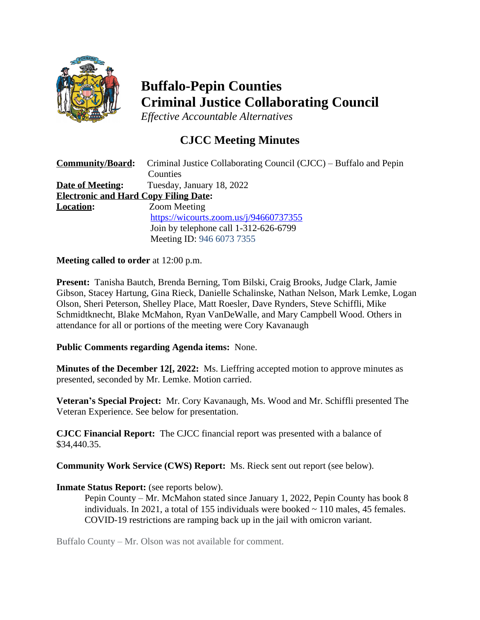

# **Buffalo-Pepin Counties Criminal Justice Collaborating Council**

*Effective Accountable Alternatives*

## **CJCC Meeting Minutes**

| <b>Community/Board:</b>                      | Criminal Justice Collaborating Council (CJCC) – Buffalo and Pepin |
|----------------------------------------------|-------------------------------------------------------------------|
|                                              | Counties                                                          |
| <b>Date of Meeting:</b>                      | Tuesday, January 18, 2022                                         |
| <b>Electronic and Hard Copy Filing Date:</b> |                                                                   |
| <b>Location:</b>                             | <b>Zoom Meeting</b>                                               |
|                                              | https://wicourts.zoom.us/j/94660737355                            |
|                                              | Join by telephone call 1-312-626-6799                             |
|                                              | Meeting ID: 946 6073 7355                                         |

### **Meeting called to order** at 12:00 p.m.

**Present:** Tanisha Bautch, Brenda Berning, Tom Bilski, Craig Brooks, Judge Clark, Jamie Gibson, Stacey Hartung, Gina Rieck, Danielle Schalinske, Nathan Nelson, Mark Lemke, Logan Olson, Sheri Peterson, Shelley Place, Matt Roesler, Dave Rynders, Steve Schiffli, Mike Schmidtknecht, Blake McMahon, Ryan VanDeWalle, and Mary Campbell Wood. Others in attendance for all or portions of the meeting were Cory Kavanaugh

### **Public Comments regarding Agenda items:** None.

**Minutes of the December 12[, 2022:** Ms. Lieffring accepted motion to approve minutes as presented, seconded by Mr. Lemke. Motion carried.

**Veteran's Special Project:** Mr. Cory Kavanaugh, Ms. Wood and Mr. Schiffli presented The Veteran Experience. See below for presentation.

**CJCC Financial Report:** The CJCC financial report was presented with a balance of \$34,440.35.

**Community Work Service (CWS) Report:** Ms. Rieck sent out report (see below).

### **Inmate Status Report:** (see reports below).

Pepin County – Mr. McMahon stated since January 1, 2022, Pepin County has book 8 individuals. In 2021, a total of 155 individuals were booked  $\sim$  110 males, 45 females. COVID-19 restrictions are ramping back up in the jail with omicron variant.

Buffalo County – Mr. Olson was not available for comment.